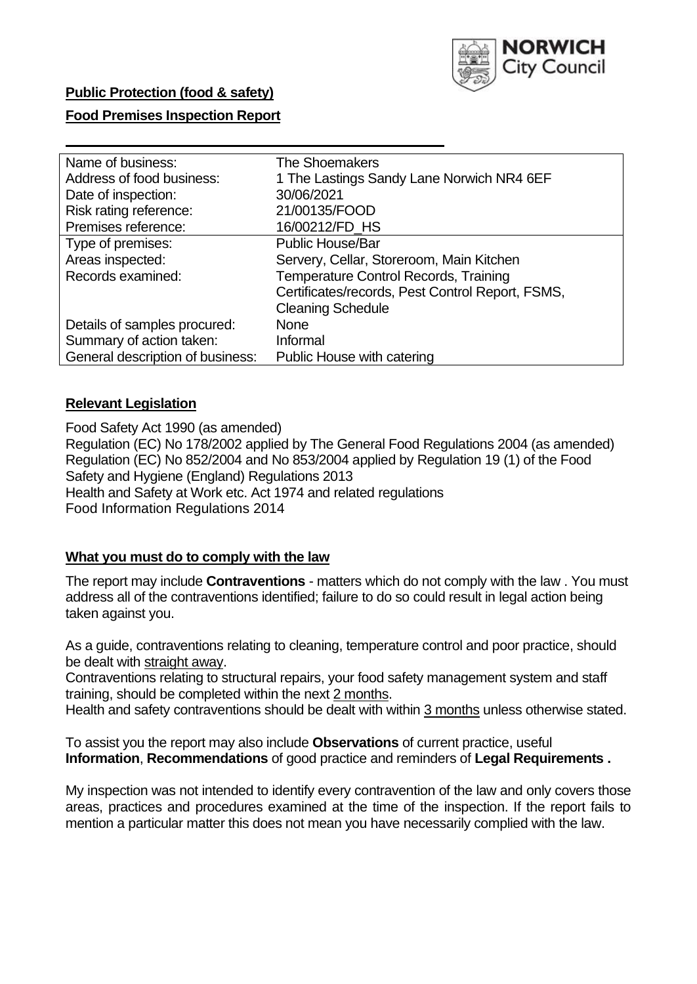

# **Public Protection (food & safety)**

### **Food Premises Inspection Report**

| Name of business:                | <b>The Shoemakers</b>                            |
|----------------------------------|--------------------------------------------------|
| Address of food business:        | 1 The Lastings Sandy Lane Norwich NR4 6EF        |
| Date of inspection:              | 30/06/2021                                       |
| Risk rating reference:           | 21/00135/FOOD                                    |
| Premises reference:              | 16/00212/FD_HS                                   |
| Type of premises:                | <b>Public House/Bar</b>                          |
| Areas inspected:                 | Servery, Cellar, Storeroom, Main Kitchen         |
| Records examined:                | <b>Temperature Control Records, Training</b>     |
|                                  | Certificates/records, Pest Control Report, FSMS, |
|                                  | <b>Cleaning Schedule</b>                         |
| Details of samples procured:     | <b>None</b>                                      |
| Summary of action taken:         | Informal                                         |
| General description of business: | Public House with catering                       |
|                                  |                                                  |

# **Relevant Legislation**

 Food Safety Act 1990 (as amended) Regulation (EC) No 178/2002 applied by The General Food Regulations 2004 (as amended) Regulation (EC) No 852/2004 and No 853/2004 applied by Regulation 19 (1) of the Food Safety and Hygiene (England) Regulations 2013 Health and Safety at Work etc. Act 1974 and related regulations Food Information Regulations 2014

### **What you must do to comply with the law**

 The report may include **Contraventions** - matters which do not comply with the law . You must address all of the contraventions identified; failure to do so could result in legal action being taken against you.

 As a guide, contraventions relating to cleaning, temperature control and poor practice, should be dealt with straight away.

 Contraventions relating to structural repairs, your food safety management system and staff training, should be completed within the next 2 months.

Health and safety contraventions should be dealt with within 3 months unless otherwise stated.

 To assist you the report may also include **Observations** of current practice, useful **Information**, **Recommendations** of good practice and reminders of **Legal Requirements .** 

 My inspection was not intended to identify every contravention of the law and only covers those areas, practices and procedures examined at the time of the inspection. If the report fails to mention a particular matter this does not mean you have necessarily complied with the law.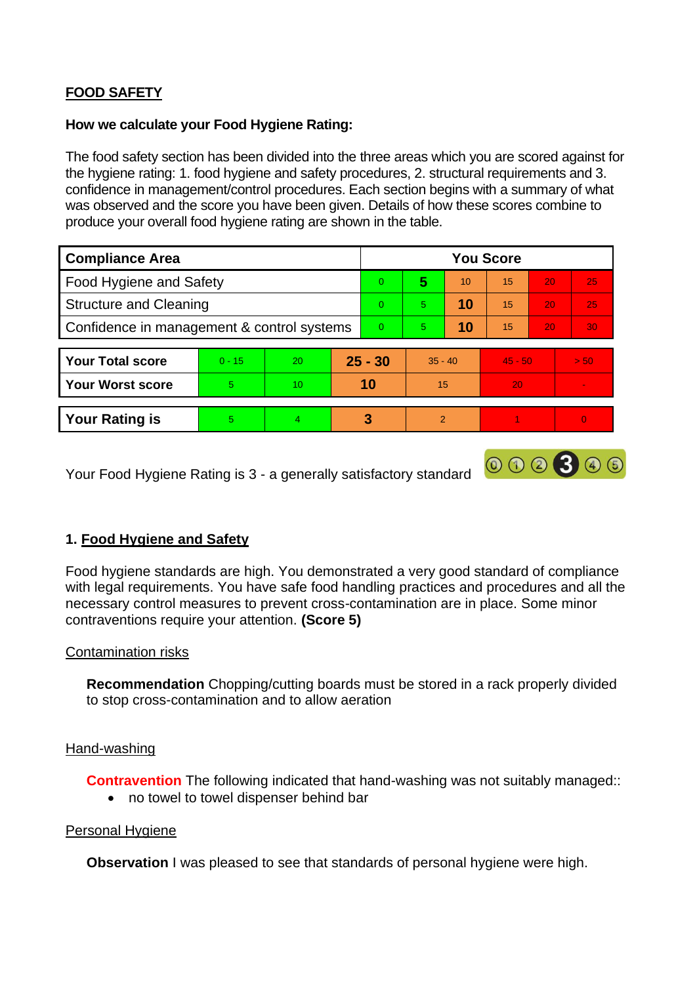# **FOOD SAFETY**

### **How we calculate your Food Hygiene Rating:**

 The food safety section has been divided into the three areas which you are scored against for the hygiene rating: 1. food hygiene and safety procedures, 2. structural requirements and 3. confidence in management/control procedures. Each section begins with a summary of what was observed and the score you have been given. Details of how these scores combine to produce your overall food hygiene rating are shown in the table.

| <b>Compliance Area</b>                     |          |    |           | <b>You Score</b> |                |    |           |    |      |  |  |
|--------------------------------------------|----------|----|-----------|------------------|----------------|----|-----------|----|------|--|--|
| <b>Food Hygiene and Safety</b>             |          |    |           | $\Omega$         | 5              | 10 | 15        | 20 | 25   |  |  |
| <b>Structure and Cleaning</b>              |          |    | $\Omega$  | 5                | 10             | 15 | 20        | 25 |      |  |  |
| Confidence in management & control systems |          |    | $\Omega$  | 5                | 10             | 15 | 20        | 30 |      |  |  |
|                                            |          |    |           |                  |                |    |           |    |      |  |  |
| <b>Your Total score</b>                    | $0 - 15$ | 20 | $25 - 30$ |                  | $35 - 40$      |    | $45 - 50$ |    | > 50 |  |  |
| <b>Your Worst score</b>                    | 5        | 10 | 10        |                  | 15             |    | 20        |    | v.   |  |  |
|                                            |          |    |           |                  |                |    |           |    |      |  |  |
| <b>Your Rating is</b>                      | 5        | 4  |           | 3                | $\overline{2}$ |    |           |    |      |  |  |

Your Food Hygiene Rating is 3 - a generally satisfactory standard

# **1. Food Hygiene and Safety**

 with legal requirements. You have safe food handling practices and procedures and all the Food hygiene standards are high. You demonstrated a very good standard of compliance necessary control measures to prevent cross-contamination are in place. Some minor contraventions require your attention. **(Score 5)** 

000300

### Contamination risks

**Recommendation** Chopping/cutting boards must be stored in a rack properly divided to stop cross-contamination and to allow aeration

### Hand-washing

**Contravention** The following indicated that hand-washing was not suitably managed:

• no towel to towel dispenser behind bar

#### Personal Hygiene

**Observation** I was pleased to see that standards of personal hygiene were high.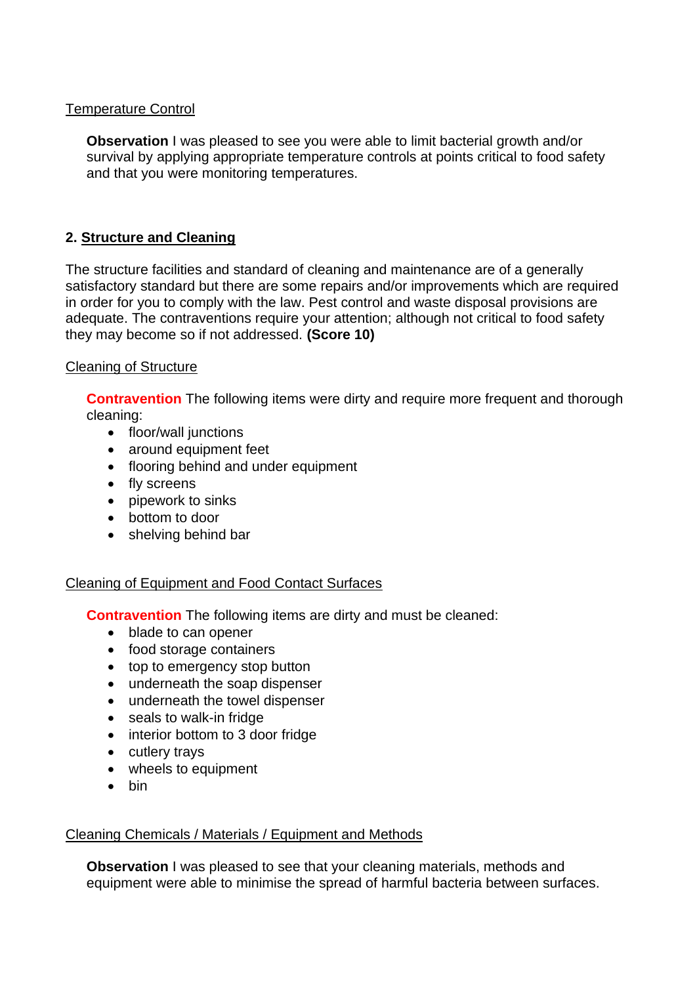# Temperature Control

**Observation** I was pleased to see you were able to limit bacterial growth and/or survival by applying appropriate temperature controls at points critical to food safety and that you were monitoring temperatures.

# **2. Structure and Cleaning**

The structure facilities and standard of cleaning and maintenance are of a generally satisfactory standard but there are some repairs and/or improvements which are required in order for you to comply with the law. Pest control and waste disposal provisions are adequate. The contraventions require your attention; although not critical to food safety they may become so if not addressed. **(Score 10)** 

# Cleaning of Structure

**Contravention** The following items were dirty and require more frequent and thorough cleaning:

- floor/wall junctions
- around equipment feet
- flooring behind and under equipment
- fly screens
- pipework to sinks
- bottom to door
- shelving behind bar

### Cleaning of Equipment and Food Contact Surfaces

**Contravention** The following items are dirty and must be cleaned:

- blade to can opener
- food storage containers
- top to emergency stop button
- underneath the soap dispenser
- underneath the towel dispenser
- seals to walk-in fridge
- interior bottom to 3 door fridge
- cutlery trays
- wheels to equipment
- bin

### Cleaning Chemicals / Materials / Equipment and Methods

**Observation** I was pleased to see that your cleaning materials, methods and equipment were able to minimise the spread of harmful bacteria between surfaces.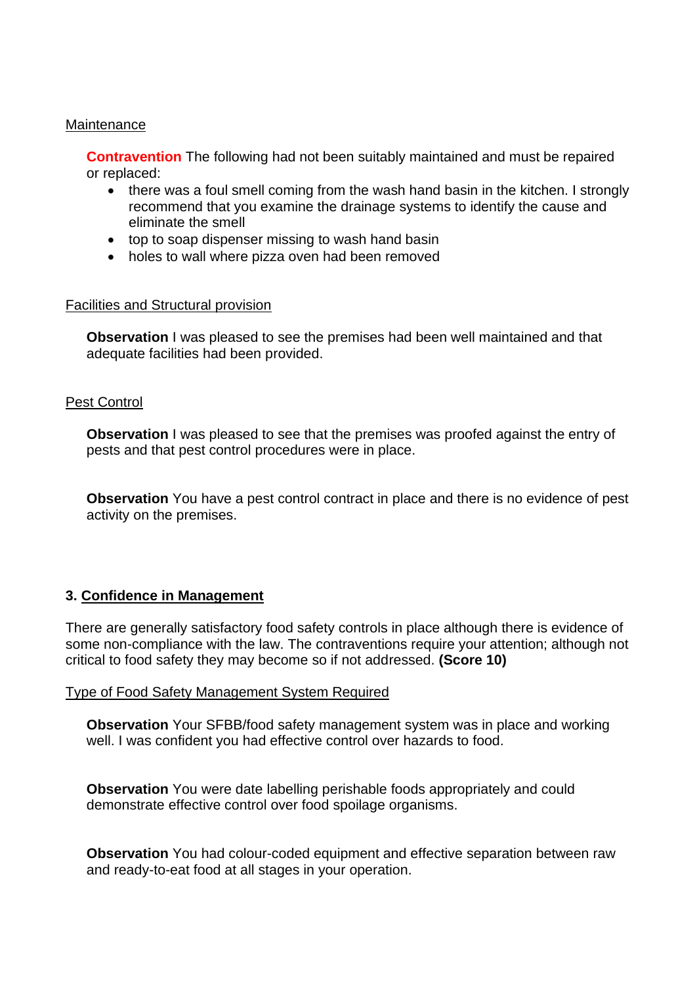#### **Maintenance**

**Contravention** The following had not been suitably maintained and must be repaired or replaced:

- recommend that you examine the drainage systems to identify the cause and • there was a foul smell coming from the wash hand basin in the kitchen. I strongly eliminate the smell
- top to soap dispenser missing to wash hand basin
- holes to wall where pizza oven had been removed

### Facilities and Structural provision

 **Observation** I was pleased to see the premises had been well maintained and that adequate facilities had been provided.

### Pest Control

**Observation** I was pleased to see that the premises was proofed against the entry of pests and that pest control procedures were in place.

 **Observation** You have a pest control contract in place and there is no evidence of pest activity on the premises.

### **3. Confidence in Management**

 There are generally satisfactory food safety controls in place although there is evidence of some non-compliance with the law. The contraventions require your attention; although not critical to food safety they may become so if not addressed. **(Score 10)** 

#### Type of Food Safety Management System Required

**Observation** Your SFBB/food safety management system was in place and working well. I was confident you had effective control over hazards to food.

 demonstrate effective control over food spoilage organisms. **Observation** You were date labelling perishable foods appropriately and could

**Observation** You had colour-coded equipment and effective separation between raw and ready-to-eat food at all stages in your operation.